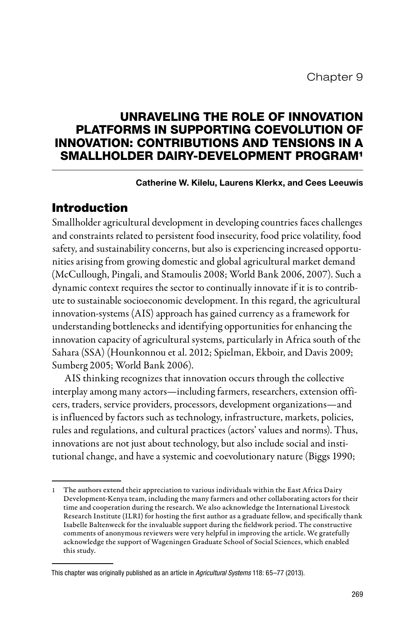# UNRAVELING THE ROLE OF INNOVATION PLATFORMS IN SUPPORTING COEVOLUTION OF INNOVATION: CONTRIBUTIONS AND TENSIONS IN A SMALLHOLDER DAIRY-DEVELOPMENT PROGRAM1

### Catherine W. Kilelu, Laurens Klerkx, and Cees Leeuwis

# Introduction

Smallholder agricultural development in developing countries faces challenges and constraints related to persistent food insecurity, food price volatility, food safety, and sustainability concerns, but also is experiencing increased opportunities arising from growing domestic and global agricultural market demand (McCullough, Pingali, and Stamoulis 2008; World Bank 2006, 2007). Such a dynamic context requires the sector to continually innovate if it is to contribute to sustainable socioeconomic development. In this regard, the agricultural innovation-systems (AIS) approach has gained currency as a framework for understanding bottlenecks and identifying opportunities for enhancing the innovation capacity of agricultural systems, particularly in Africa south of the Sahara (SSA) (Hounkonnou et al. 2012; Spielman, Ekboir, and Davis 2009; Sumberg 2005; World Bank 2006).

AIS thinking recognizes that innovation occurs through the collective interplay among many actors—including farmers, researchers, extension officers, traders, service providers, processors, development organizations—and is influenced by factors such as technology, infrastructure, markets, policies, rules and regulations, and cultural practices (actors' values and norms). Thus, innovations are not just about technology, but also include social and institutional change, and have a systemic and coevolutionary nature (Biggs 1990;

<sup>1</sup> The authors extend their appreciation to various individuals within the East Africa Dairy Development-Kenya team, including the many farmers and other collaborating actors for their time and cooperation during the research. We also acknowledge the International Livestock Research Institute (ILRI) for hosting the first author as a graduate fellow, and specifically thank Isabelle Baltenweck for the invaluable support during the fieldwork period. The constructive comments of anonymous reviewers were very helpful in improving the article. We gratefully acknowledge the support of Wageningen Graduate School of Social Sciences, which enabled this study.

This chapter was originally published as an article in *Agricultural Systems* 118: 65–77 (2013).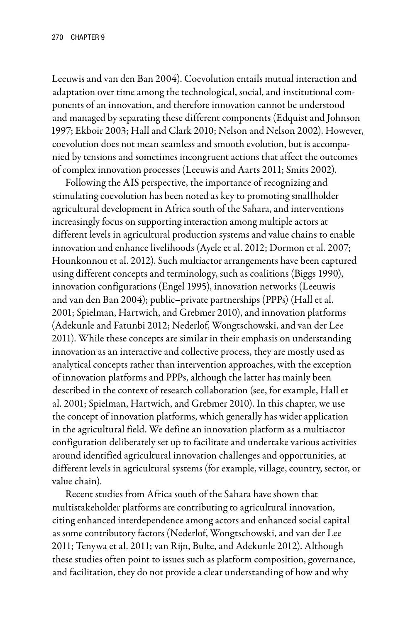Leeuwis and van den Ban 2004). Coevolution entails mutual interaction and adaptation over time among the technological, social, and institutional components of an innovation, and therefore innovation cannot be understood and managed by separating these different components (Edquist and Johnson 1997; Ekboir 2003; Hall and Clark 2010; Nelson and Nelson 2002). However, coevolution does not mean seamless and smooth evolution, but is accompanied by tensions and sometimes incongruent actions that affect the outcomes of complex innovation processes (Leeuwis and Aarts 2011; Smits 2002).

Following the AIS perspective, the importance of recognizing and stimulating coevolution has been noted as key to promoting smallholder agricultural development in Africa south of the Sahara, and interventions increasingly focus on supporting interaction among multiple actors at different levels in agricultural production systems and value chains to enable innovation and enhance livelihoods (Ayele et al. 2012; Dormon et al. 2007; Hounkonnou et al. 2012). Such multiactor arrangements have been captured using different concepts and terminology, such as coalitions (Biggs 1990), innovation configurations (Engel 1995), innovation networks (Leeuwis and van den Ban 2004); public–private partnerships (PPPs) (Hall et al. 2001; Spielman, Hartwich, and Grebmer 2010), and innovation platforms (Adekunle and Fatunbi 2012; Nederlof, Wongtschowski, and van der Lee 2011). While these concepts are similar in their emphasis on understanding innovation as an interactive and collective process, they are mostly used as analytical concepts rather than intervention approaches, with the exception of innovation platforms and PPPs, although the latter has mainly been described in the context of research collaboration (see, for example, Hall et al. 2001; Spielman, Hartwich, and Grebmer 2010). In this chapter, we use the concept of innovation platforms, which generally has wider application in the agricultural field. We define an innovation platform as a multiactor configuration deliberately set up to facilitate and undertake various activities around identified agricultural innovation challenges and opportunities, at different levels in agricultural systems (for example, village, country, sector, or value chain).

Recent studies from Africa south of the Sahara have shown that multistakeholder platforms are contributing to agricultural innovation, citing enhanced interdependence among actors and enhanced social capital as some contributory factors (Nederlof, Wongtschowski, and van der Lee 2011; Tenywa et al. 2011; van Rijn, Bulte, and Adekunle 2012). Although these studies often point to issues such as platform composition, governance, and facilitation, they do not provide a clear understanding of how and why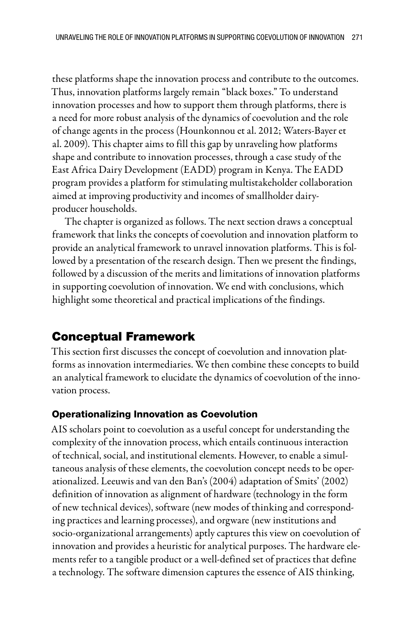these platforms shape the innovation process and contribute to the outcomes. Thus, innovation platforms largely remain "black boxes." To understand innovation processes and how to support them through platforms, there is a need for more robust analysis of the dynamics of coevolution and the role of change agents in the process (Hounkonnou et al. 2012; Waters-Bayer et al. 2009). This chapter aims to fill this gap by unraveling how platforms shape and contribute to innovation processes, through a case study of the East Africa Dairy Development (EADD) program in Kenya. The EADD program provides a platform for stimulating multistakeholder collaboration aimed at improving productivity and incomes of smallholder dairyproducer households.

The chapter is organized as follows. The next section draws a conceptual framework that links the concepts of coevolution and innovation platform to provide an analytical framework to unravel innovation platforms. This is followed by a presentation of the research design. Then we present the findings, followed by a discussion of the merits and limitations of innovation platforms in supporting coevolution of innovation. We end with conclusions, which highlight some theoretical and practical implications of the findings.

# Conceptual Framework

This section first discusses the concept of coevolution and innovation platforms as innovation intermediaries. We then combine these concepts to build an analytical framework to elucidate the dynamics of coevolution of the innovation process.

## Operationalizing Innovation as Coevolution

AIS scholars point to coevolution as a useful concept for understanding the complexity of the innovation process, which entails continuous interaction of technical, social, and institutional elements. However, to enable a simultaneous analysis of these elements, the coevolution concept needs to be operationalized. Leeuwis and van den Ban's (2004) adaptation of Smits' (2002) definition of innovation as alignment of hardware (technology in the form of new technical devices), software (new modes of thinking and corresponding practices and learning processes), and orgware (new institutions and socio-organizational arrangements) aptly captures this view on coevolution of innovation and provides a heuristic for analytical purposes. The hardware elements refer to a tangible product or a well-defined set of practices that define a technology. The software dimension captures the essence of AIS thinking,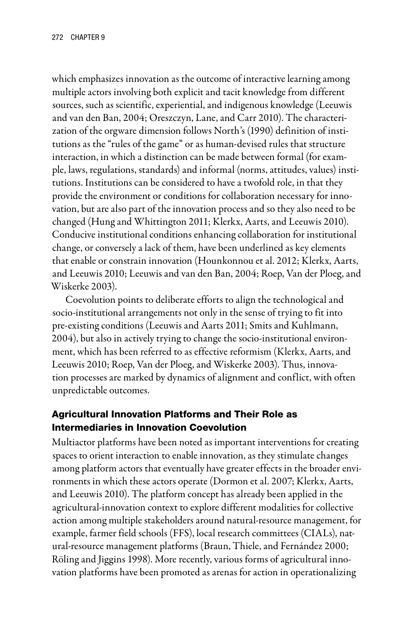which emphasizes innovation as the outcome of interactive learning among multiple actors involving both explicit and tacit knowledge from different sources, such as scientific, experiential, and indigenous knowledge (Leeuwis and van den Ban, 2004; Oreszczyn, Lane, and Carr 2010). The characterization of the orgware dimension follows North's (1990) definition of institutions as the "rules of the game" or as human-devised rules that structure interaction, in which a distinction can be made between formal (for example, laws, regulations, standards) and informal (norms, attitudes, values) institutions. Institutions can be considered to have a twofold role, in that they provide the environment or conditions for collaboration necessary for innovation, but are also part of the innovation process and so they also need to be changed (Hung and Whittington 2011; Klerkx, Aarts, and Leeuwis 2010). Conducive institutional conditions enhancing collaboration for institutional change, or conversely a lack of them, have been underlined as key elements that enable or constrain innovation (Hounkonnou et al. 2012; Klerkx, Aarts, and Leeuwis 2010; Leeuwis and van den Ban, 2004; Roep, Van der Ploeg, and Wiskerke 2003).

Coevolution points to deliberate efforts to align the technological and socio-institutional arrangements not only in the sense of trying to fit into pre-existing conditions (Leeuwis and Aarts 2011; Smits and Kuhlmann, 2004), but also in actively trying to change the socio-institutional environment, which has been referred to as effective reformism (Klerkx, Aarts, and Leeuwis 2010; Roep, Van der Ploeg, and Wiskerke 2003). Thus, innovation processes are marked by dynamics of alignment and conflict, with often unpredictable outcomes.

### Agricultural Innovation Platforms and Their Role as Intermediaries in Innovation Coevolution

Multiactor platforms have been noted as important interventions for creating spaces to orient interaction to enable innovation, as they stimulate changes among platform actors that eventually have greater effects in the broader environments in which these actors operate (Dormon et al. 2007; Klerkx, Aarts, and Leeuwis 2010). The platform concept has already been applied in the agricultural-innovation context to explore different modalities for collective action among multiple stakeholders around natural-resource management, for example, farmer field schools (FFS), local research committees (CIALs), natural-resource management platforms (Braun, Thiele, and Fernández 2000; Röling and Jiggins 1998). More recently, various forms of agricultural innovation platforms have been promoted as arenas for action in operationalizing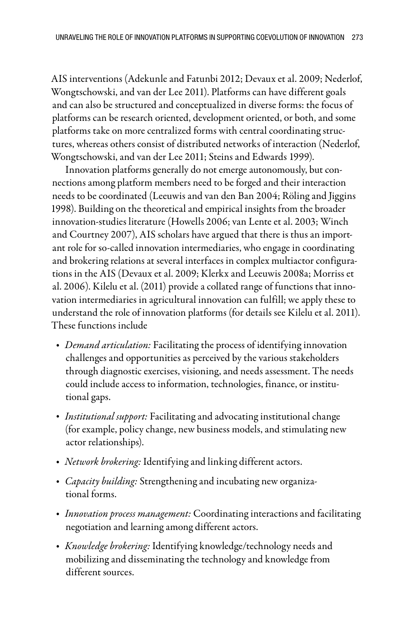AIS interventions (Adekunle and Fatunbi 2012; Devaux et al. 2009; Nederlof, Wongtschowski, and van der Lee 2011). Platforms can have different goals and can also be structured and conceptualized in diverse forms: the focus of platforms can be research oriented, development oriented, or both, and some platforms take on more centralized forms with central coordinating structures, whereas others consist of distributed networks of interaction (Nederlof, Wongtschowski, and van der Lee 2011; Steins and Edwards 1999).

Innovation platforms generally do not emerge autonomously, but connections among platform members need to be forged and their interaction needs to be coordinated (Leeuwis and van den Ban 2004; Röling and Jiggins 1998). Building on the theoretical and empirical insights from the broader innovation-studies literature (Howells 2006; van Lente et al. 2003; Winch and Courtney 2007), AIS scholars have argued that there is thus an important role for so-called innovation intermediaries, who engage in coordinating and brokering relations at several interfaces in complex multiactor configurations in the AIS (Devaux et al. 2009; Klerkx and Leeuwis 2008a; Morriss et al. 2006). Kilelu et al. (2011) provide a collated range of functions that innovation intermediaries in agricultural innovation can fulfill; we apply these to understand the role of innovation platforms (for details see Kilelu et al. 2011). These functions include

- *Demand articulation:* Facilitating the process of identifying innovation challenges and opportunities as perceived by the various stakeholders through diagnostic exercises, visioning, and needs assessment. The needs could include access to information, technologies, finance, or institutional gaps.
- *Institutional support:* Facilitating and advocating institutional change (for example, policy change, new business models, and stimulating new actor relationships).
- *Network brokering:* Identifying and linking different actors.
- *Capacity building:* Strengthening and incubating new organizational forms.
- *Innovation process management:* Coordinating interactions and facilitating negotiation and learning among different actors.
- *Knowledge brokering:* Identifying knowledge/technology needs and mobilizing and disseminating the technology and knowledge from different sources.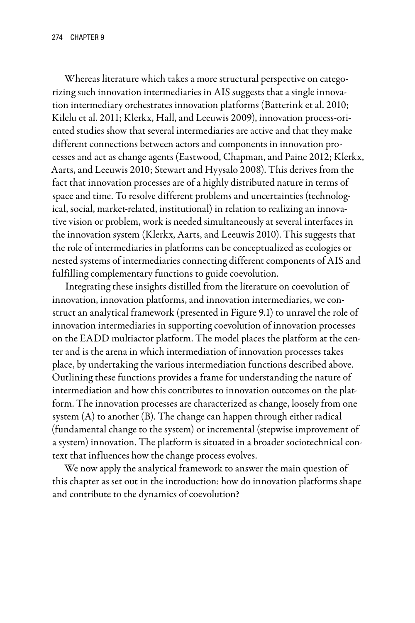Whereas literature which takes a more structural perspective on categorizing such innovation intermediaries in AIS suggests that a single innovation intermediary orchestrates innovation platforms (Batterink et al. 2010; Kilelu et al. 2011; Klerkx, Hall, and Leeuwis 2009), innovation process-oriented studies show that several intermediaries are active and that they make different connections between actors and components in innovation processes and act as change agents (Eastwood, Chapman, and Paine 2012; Klerkx, Aarts, and Leeuwis 2010; Stewart and Hyysalo 2008). This derives from the fact that innovation processes are of a highly distributed nature in terms of space and time. To resolve different problems and uncertainties (technological, social, market-related, institutional) in relation to realizing an innovative vision or problem, work is needed simultaneously at several interfaces in the innovation system (Klerkx, Aarts, and Leeuwis 2010). This suggests that the role of intermediaries in platforms can be conceptualized as ecologies or nested systems of intermediaries connecting different components of AIS and fulfilling complementary functions to guide coevolution.

Integrating these insights distilled from the literature on coevolution of innovation, innovation platforms, and innovation intermediaries, we construct an analytical framework (presented in Figure 9.1) to unravel the role of innovation intermediaries in supporting coevolution of innovation processes on the EADD multiactor platform. The model places the platform at the center and is the arena in which intermediation of innovation processes takes place, by undertaking the various intermediation functions described above. Outlining these functions provides a frame for understanding the nature of intermediation and how this contributes to innovation outcomes on the platform. The innovation processes are characterized as change, loosely from one system (A) to another (B). The change can happen through either radical (fundamental change to the system) or incremental (stepwise improvement of a system) innovation. The platform is situated in a broader sociotechnical context that influences how the change process evolves.

We now apply the analytical framework to answer the main question of this chapter as set out in the introduction: how do innovation platforms shape and contribute to the dynamics of coevolution?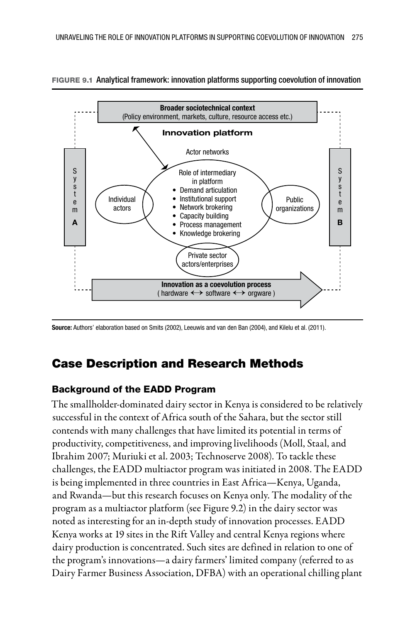

Figure 9.1 Analytical framework: innovation platforms supporting coevolution of innovation

# Case Description and Research Methods

### Background of the EADD Program

The smallholder-dominated dairy sector in Kenya is considered to be relatively successful in the context of Africa south of the Sahara, but the sector still contends with many challenges that have limited its potential in terms of productivity, competitiveness, and improving livelihoods (Moll, Staal, and Ibrahim 2007; Muriuki et al. 2003; Technoserve 2008). To tackle these challenges, the EADD multiactor program was initiated in 2008. The EADD is being implemented in three countries in East Africa—Kenya, Uganda, and Rwanda—but this research focuses on Kenya only. The modality of the program as a multiactor platform (see Figure 9.2) in the dairy sector was noted as interesting for an in-depth study of innovation processes. EADD Kenya works at 19 sites in the Rift Valley and central Kenya regions where dairy production is concentrated. Such sites are defined in relation to one of the program's innovations—a dairy farmers' limited company (referred to as Dairy Farmer Business Association, DFBA) with an operational chilling plant

Source: Authors' elaboration based on Smits (2002), Leeuwis and van den Ban (2004), and Kilelu et al. (2011).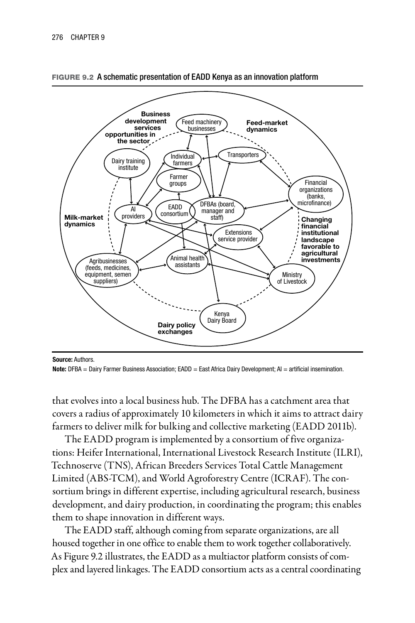



Note: DFBA = Dairy Farmer Business Association; EADD = East Africa Dairy Development; AI = artificial insemination.

that evolves into a local business hub. The DFBA has a catchment area that covers a radius of approximately 10 kilometers in which it aims to attract dairy farmers to deliver milk for bulking and collective marketing (EADD 2011b).

The EADD program is implemented by a consortium of five organizations: Heifer International, International Livestock Research Institute (ILRI), Technoserve (TNS), African Breeders Services Total Cattle Management Limited (ABS-TCM), and World Agroforestry Centre (ICRAF). The consortium brings in different expertise, including agricultural research, business development, and dairy production, in coordinating the program; this enables them to shape innovation in different ways.

The EADD staff, although coming from separate organizations, are all housed together in one office to enable them to work together collaboratively. As Figure 9.2 illustrates, the EADD as a multiactor platform consists of complex and layered linkages. The EADD consortium acts as a central coordinating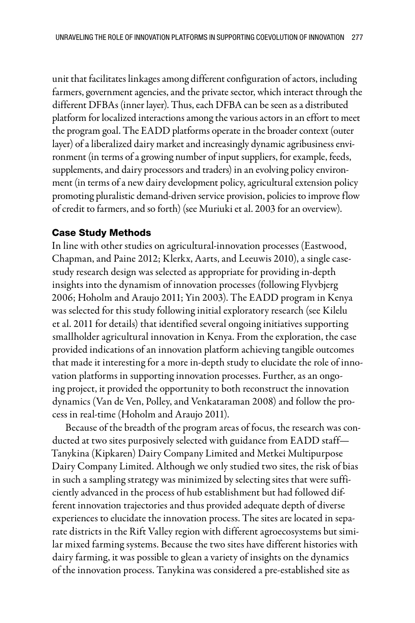unit that facilitates linkages among different configuration of actors, including farmers, government agencies, and the private sector, which interact through the different DFBAs (inner layer). Thus, each DFBA can be seen as a distributed platform for localized interactions among the various actors in an effort to meet the program goal. The EADD platforms operate in the broader context (outer layer) of a liberalized dairy market and increasingly dynamic agribusiness environment (in terms of a growing number of input suppliers, for example, feeds, supplements, and dairy processors and traders) in an evolving policy environment (in terms of a new dairy development policy, agricultural extension policy promoting pluralistic demand-driven service provision, policies to improve flow of credit to farmers, and so forth) (see Muriuki et al. 2003 for an overview).

### Case Study Methods

In line with other studies on agricultural-innovation processes (Eastwood, Chapman, and Paine 2012; Klerkx, Aarts, and Leeuwis 2010), a single casestudy research design was selected as appropriate for providing in-depth insights into the dynamism of innovation processes (following Flyvbjerg 2006; Hoholm and Araujo 2011; Yin 2003). The EADD program in Kenya was selected for this study following initial exploratory research (see Kilelu et al. 2011 for details) that identified several ongoing initiatives supporting smallholder agricultural innovation in Kenya. From the exploration, the case provided indications of an innovation platform achieving tangible outcomes that made it interesting for a more in-depth study to elucidate the role of innovation platforms in supporting innovation processes. Further, as an ongoing project, it provided the opportunity to both reconstruct the innovation dynamics (Van de Ven, Polley, and Venkataraman 2008) and follow the process in real-time (Hoholm and Araujo 2011).

Because of the breadth of the program areas of focus, the research was conducted at two sites purposively selected with guidance from EADD staff— Tanykina (Kipkaren) Dairy Company Limited and Metkei Multipurpose Dairy Company Limited. Although we only studied two sites, the risk of bias in such a sampling strategy was minimized by selecting sites that were sufficiently advanced in the process of hub establishment but had followed different innovation trajectories and thus provided adequate depth of diverse experiences to elucidate the innovation process. The sites are located in separate districts in the Rift Valley region with different agroecosystems but similar mixed farming systems. Because the two sites have different histories with dairy farming, it was possible to glean a variety of insights on the dynamics of the innovation process. Tanykina was considered a pre-established site as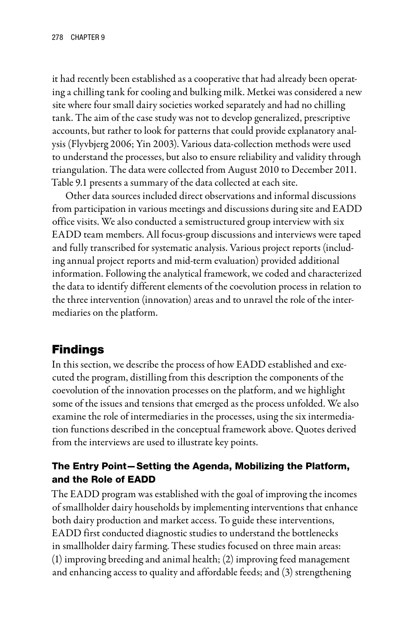it had recently been established as a cooperative that had already been operating a chilling tank for cooling and bulking milk. Metkei was considered a new site where four small dairy societies worked separately and had no chilling tank. The aim of the case study was not to develop generalized, prescriptive accounts, but rather to look for patterns that could provide explanatory analysis (Flyvbjerg 2006; Yin 2003). Various data-collection methods were used to understand the processes, but also to ensure reliability and validity through triangulation. The data were collected from August 2010 to December 2011. Table 9.1 presents a summary of the data collected at each site.

Other data sources included direct observations and informal discussions from participation in various meetings and discussions during site and EADD office visits. We also conducted a semistructured group interview with six EADD team members. All focus-group discussions and interviews were taped and fully transcribed for systematic analysis. Various project reports (including annual project reports and mid-term evaluation) provided additional information. Following the analytical framework, we coded and characterized the data to identify different elements of the coevolution process in relation to the three intervention (innovation) areas and to unravel the role of the intermediaries on the platform.

# Findings

In this section, we describe the process of how EADD established and executed the program, distilling from this description the components of the coevolution of the innovation processes on the platform, and we highlight some of the issues and tensions that emerged as the process unfolded. We also examine the role of intermediaries in the processes, using the six intermediation functions described in the conceptual framework above. Quotes derived from the interviews are used to illustrate key points.

## The Entry Point—Setting the Agenda, Mobilizing the Platform, and the Role of EADD

The EADD program was established with the goal of improving the incomes of smallholder dairy households by implementing interventions that enhance both dairy production and market access. To guide these interventions, EADD first conducted diagnostic studies to understand the bottlenecks in smallholder dairy farming. These studies focused on three main areas: (1) improving breeding and animal health; (2) improving feed management and enhancing access to quality and affordable feeds; and (3) strengthening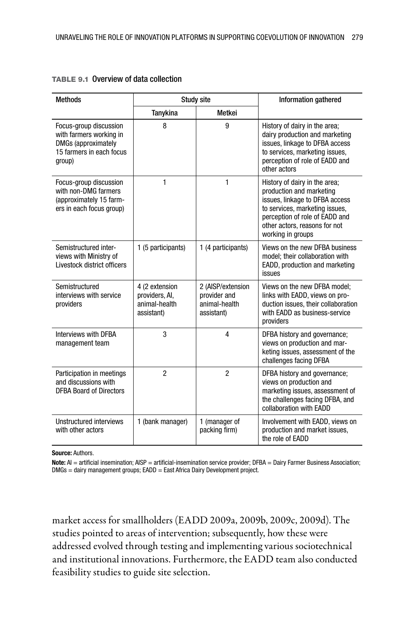| <b>Methods</b>                                                                                                        | Study site                                                      |                                                                  | Information gathered                                                                                                                                                                                                  |
|-----------------------------------------------------------------------------------------------------------------------|-----------------------------------------------------------------|------------------------------------------------------------------|-----------------------------------------------------------------------------------------------------------------------------------------------------------------------------------------------------------------------|
|                                                                                                                       | Tanykina                                                        | Metkei                                                           |                                                                                                                                                                                                                       |
| Focus-group discussion<br>with farmers working in<br><b>DMGs (approximately</b><br>15 farmers in each focus<br>qroup) | 8                                                               | 9                                                                | History of dairy in the area;<br>dairy production and marketing<br>issues, linkage to DFBA access<br>to services, marketing issues,<br>perception of role of EADD and<br>other actors                                 |
| Focus-group discussion<br>with non-DMG farmers<br>(approximately 15 farm-<br>ers in each focus group)                 | 1                                                               | 1                                                                | History of dairy in the area;<br>production and marketing<br>issues, linkage to DFBA access<br>to services, marketing issues,<br>perception of role of EADD and<br>other actors, reasons for not<br>working in groups |
| Semistructured inter-<br>views with Ministry of<br>Livestock district officers                                        | 1 (5 participants)                                              | 1 (4 participants)                                               | Views on the new DFBA business<br>model: their collaboration with<br>EADD, production and marketing<br>issues                                                                                                         |
| Semistructured<br>interviews with service<br>providers                                                                | 4 (2 extension<br>providers. Al.<br>animal-health<br>assistant) | 2 (AISP/extension<br>provider and<br>animal-health<br>assistant) | Views on the new DFBA model;<br>links with EADD, views on pro-<br>duction issues, their collaboration<br>with EADD as business-service<br>providers                                                                   |
| Interviews with DFBA<br>management team                                                                               | 3                                                               | 4                                                                | DFBA history and governance;<br>views on production and mar-<br>keting issues, assessment of the<br>challenges facing DFBA                                                                                            |
| Participation in meetings<br>and discussions with<br><b>DFBA Board of Directors</b>                                   | $\mathfrak{p}$                                                  | $\mathfrak{p}$                                                   | DFBA history and governance;<br>views on production and<br>marketing issues, assessment of<br>the challenges facing DFBA, and<br>collaboration with EADD                                                              |
| Unstructured interviews<br>with other actors                                                                          | 1 (bank manager)                                                | 1 (manager of<br>packing firm)                                   | Involvement with EADD, views on<br>production and market issues,<br>the role of EADD                                                                                                                                  |

#### Table 9.1 Overview of data collection

Source: Authors.

Note: AI = artificial insemination; AISP = artificial-insemination service provider; DFBA = Dairy Farmer Business Association; DMGs = dairy management groups; EADD = East Africa Dairy Development project.

market access for smallholders (EADD 2009a, 2009b, 2009c, 2009d). The studies pointed to areas of intervention; subsequently, how these were addressed evolved through testing and implementing various sociotechnical and institutional innovations. Furthermore, the EADD team also conducted feasibility studies to guide site selection.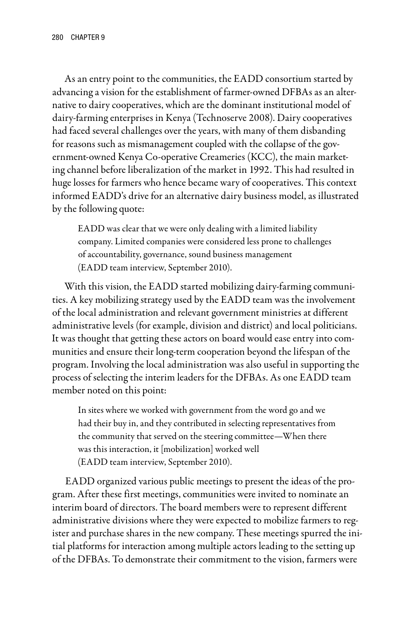As an entry point to the communities, the EADD consortium started by advancing a vision for the establishment of farmer-owned DFBAs as an alternative to dairy cooperatives, which are the dominant institutional model of dairy-farming enterprises in Kenya (Technoserve 2008). Dairy cooperatives had faced several challenges over the years, with many of them disbanding for reasons such as mismanagement coupled with the collapse of the government-owned Kenya Co-operative Creameries (KCC), the main marketing channel before liberalization of the market in 1992. This had resulted in huge losses for farmers who hence became wary of cooperatives. This context informed EADD's drive for an alternative dairy business model, as illustrated by the following quote:

EADD was clear that we were only dealing with a limited liability company. Limited companies were considered less prone to challenges of accountability, governance, sound business management (EADD team interview, September 2010).

With this vision, the EADD started mobilizing dairy-farming communities. A key mobilizing strategy used by the EADD team was the involvement of the local administration and relevant government ministries at different administrative levels (for example, division and district) and local politicians. It was thought that getting these actors on board would ease entry into communities and ensure their long-term cooperation beyond the lifespan of the program. Involving the local administration was also useful in supporting the process of selecting the interim leaders for the DFBAs. As one EADD team member noted on this point:

In sites where we worked with government from the word go and we had their buy in, and they contributed in selecting representatives from the community that served on the steering committee—When there was this interaction, it [mobilization] worked well (EADD team interview, September 2010).

EADD organized various public meetings to present the ideas of the program. After these first meetings, communities were invited to nominate an interim board of directors. The board members were to represent different administrative divisions where they were expected to mobilize farmers to register and purchase shares in the new company. These meetings spurred the initial platforms for interaction among multiple actors leading to the setting up of the DFBAs. To demonstrate their commitment to the vision, farmers were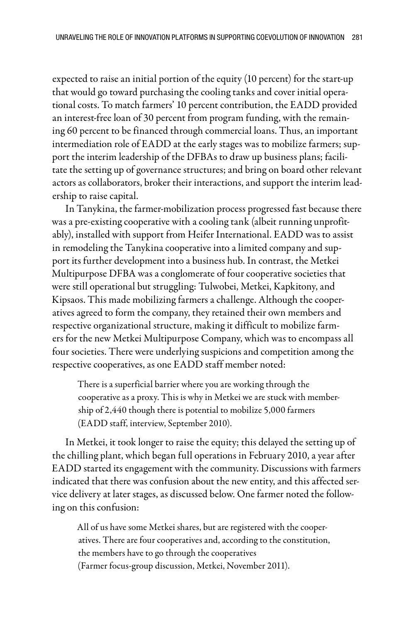expected to raise an initial portion of the equity (10 percent) for the start-up that would go toward purchasing the cooling tanks and cover initial operational costs. To match farmers' 10 percent contribution, the EADD provided an interest-free loan of 30 percent from program funding, with the remaining 60 percent to be financed through commercial loans. Thus, an important intermediation role of EADD at the early stages was to mobilize farmers; support the interim leadership of the DFBAs to draw up business plans; facilitate the setting up of governance structures; and bring on board other relevant actors as collaborators, broker their interactions, and support the interim leadership to raise capital.

In Tanykina, the farmer-mobilization process progressed fast because there was a pre-existing cooperative with a cooling tank (albeit running unprofitably), installed with support from Heifer International. EADD was to assist in remodeling the Tanykina cooperative into a limited company and support its further development into a business hub. In contrast, the Metkei Multipurpose DFBA was a conglomerate of four cooperative societies that were still operational but struggling: Tulwobei, Metkei, Kapkitony, and Kipsaos. This made mobilizing farmers a challenge. Although the cooperatives agreed to form the company, they retained their own members and respective organizational structure, making it difficult to mobilize farmers for the new Metkei Multipurpose Company, which was to encompass all four societies. There were underlying suspicions and competition among the respective cooperatives, as one EADD staff member noted:

There is a superficial barrier where you are working through the cooperative as a proxy. This is why in Metkei we are stuck with membership of 2,440 though there is potential to mobilize 5,000 farmers (EADD staff, interview, September 2010).

In Metkei, it took longer to raise the equity; this delayed the setting up of the chilling plant, which began full operations in February 2010, a year after EADD started its engagement with the community. Discussions with farmers indicated that there was confusion about the new entity, and this affected service delivery at later stages, as discussed below. One farmer noted the following on this confusion:

All of us have some Metkei shares, but are registered with the cooperatives. There are four cooperatives and, according to the constitution, the members have to go through the cooperatives (Farmer focus-group discussion, Metkei, November 2011).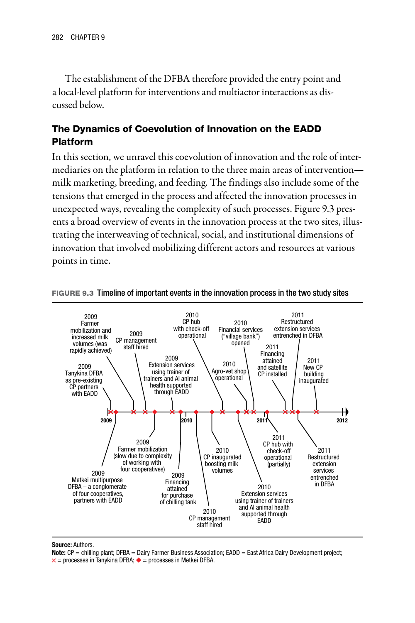The establishment of the DFBA therefore provided the entry point and a local-level platform for interventions and multiactor interactions as discussed below.

## The Dynamics of Coevolution of Innovation on the EADD Platform

In this section, we unravel this coevolution of innovation and the role of intermediaries on the platform in relation to the three main areas of intervention milk marketing, breeding, and feeding. The findings also include some of the tensions that emerged in the process and affected the innovation processes in unexpected ways, revealing the complexity of such processes. Figure 9.3 presents a broad overview of events in the innovation process at the two sites, illustrating the interweaving of technical, social, and institutional dimensions of innovation that involved mobilizing different actors and resources at various points in time.



#### Figure 9.3 Timeline of important events in the innovation process in the two study sites

Source: Authors.

Note: CP = chilling plant; DFBA = Dairy Farmer Business Association; EADD = East Africa Dairy Development project;  $\times$  = processes in Tanykina DFBA;  $\blacklozenge$  = processes in Metkei DFBA.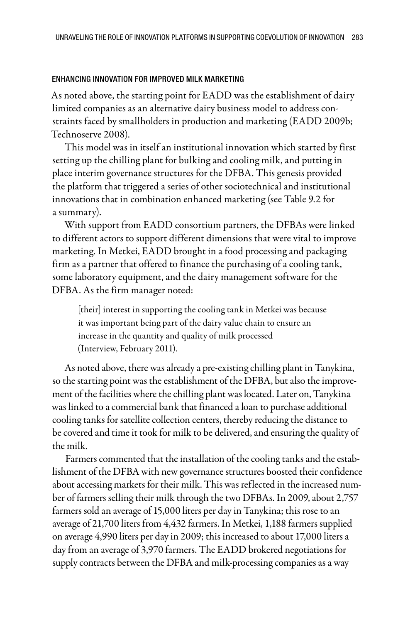#### ENHANCING INNOVATION FOR IMPROVED MILK MARKETING

As noted above, the starting point for EADD was the establishment of dairy limited companies as an alternative dairy business model to address constraints faced by smallholders in production and marketing (EADD 2009b; Technoserve 2008).

This model was in itself an institutional innovation which started by first setting up the chilling plant for bulking and cooling milk, and putting in place interim governance structures for the DFBA. This genesis provided the platform that triggered a series of other sociotechnical and institutional innovations that in combination enhanced marketing (see Table 9.2 for a summary).

With support from EADD consortium partners, the DFBAs were linked to different actors to support different dimensions that were vital to improve marketing. In Metkei, EADD brought in a food processing and packaging firm as a partner that offered to finance the purchasing of a cooling tank, some laboratory equipment, and the dairy management software for the DFBA. As the firm manager noted:

[their] interest in supporting the cooling tank in Metkei was because it was important being part of the dairy value chain to ensure an increase in the quantity and quality of milk processed (Interview, February 2011).

As noted above, there was already a pre-existing chilling plant in Tanykina, so the starting point was the establishment of the DFBA, but also the improvement of the facilities where the chilling plant was located. Later on, Tanykina was linked to a commercial bank that financed a loan to purchase additional cooling tanks for satellite collection centers, thereby reducing the distance to be covered and time it took for milk to be delivered, and ensuring the quality of the milk.

Farmers commented that the installation of the cooling tanks and the establishment of the DFBA with new governance structures boosted their confidence about accessing markets for their milk. This was reflected in the increased number of farmers selling their milk through the two DFBAs. In 2009, about 2,757 farmers sold an average of 15,000 liters per day in Tanykina; this rose to an average of 21,700 liters from 4,432 farmers. In Metkei, 1,188 farmers supplied on average 4,990 liters per day in 2009; this increased to about 17,000 liters a day from an average of 3,970 farmers. The EADD brokered negotiations for supply contracts between the DFBA and milk-processing companies as a way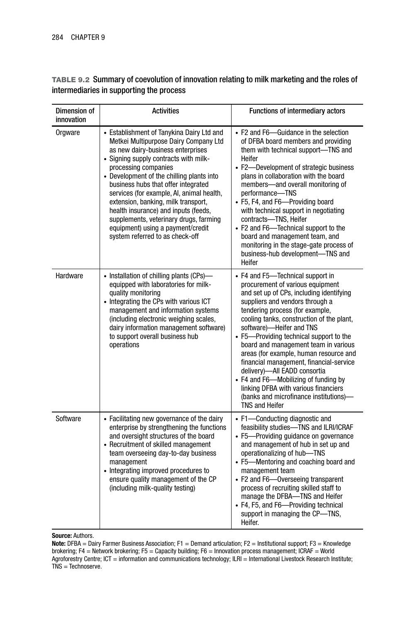| Dimension of<br>innovation | <b>Activities</b>                                                                                                                                                                                                                                                                                                                                                                                                                                                                                                          | Functions of intermediary actors                                                                                                                                                                                                                                                                                                                                                                                                                                                                                                                                                                                           |  |  |
|----------------------------|----------------------------------------------------------------------------------------------------------------------------------------------------------------------------------------------------------------------------------------------------------------------------------------------------------------------------------------------------------------------------------------------------------------------------------------------------------------------------------------------------------------------------|----------------------------------------------------------------------------------------------------------------------------------------------------------------------------------------------------------------------------------------------------------------------------------------------------------------------------------------------------------------------------------------------------------------------------------------------------------------------------------------------------------------------------------------------------------------------------------------------------------------------------|--|--|
| Orgware                    | • Establishment of Tanykina Dairy Ltd and<br>Metkei Multipurpose Dairy Company Ltd<br>as new dairy-business enterprises<br>• Signing supply contracts with milk-<br>processing companies<br>• Development of the chilling plants into<br>business hubs that offer integrated<br>services (for example, AI, animal health,<br>extension, banking, milk transport,<br>health insurance) and inputs (feeds,<br>supplements, veterinary drugs, farming<br>equipment) using a payment/credit<br>system referred to as check-off | • F2 and F6-Guidance in the selection<br>of DFBA board members and providing<br>them with technical support-TNS and<br>Heifer<br>• F2-Development of strategic business<br>plans in collaboration with the board<br>members-and overall monitoring of<br>performance-TNS<br>• F5, F4, and F6-Providing board<br>with technical support in negotiating<br>contracts-TNS, Heifer<br>• F2 and F6-Technical support to the<br>board and management team, and<br>monitoring in the stage-gate process of<br>business-hub development-TNS and<br>Heifer                                                                          |  |  |
| Hardware                   | • Installation of chilling plants (CPs)-<br>equipped with laboratories for milk-<br>quality monitoring<br>• Integrating the CPs with various ICT<br>management and information systems<br>(including electronic weighing scales,<br>dairy information management software)<br>to support overall business hub<br>operations                                                                                                                                                                                                | • F4 and F5-Technical support in<br>procurement of various equipment<br>and set up of CPs, including identifying<br>suppliers and vendors through a<br>tendering process (for example,<br>cooling tanks, construction of the plant,<br>software)-Heifer and TNS<br>• F5-Providing technical support to the<br>board and management team in various<br>areas (for example, human resource and<br>financial management, financial-service<br>delivery)-All EADD consortia<br>• F4 and F6-Mobilizing of funding by<br>linking DFBA with various financiers<br>(banks and microfinance institutions)-<br><b>TNS and Heifer</b> |  |  |
| Software                   | • Facilitating new governance of the dairy<br>enterprise by strengthening the functions<br>and oversight structures of the board<br>• Recruitment of skilled management<br>team overseeing day-to-day business<br>management<br>• Integrating improved procedures to<br>ensure quality management of the CP<br>(including milk-quality testing)                                                                                                                                                                            | • F1-Conducting diagnostic and<br>feasibility studies-TNS and ILRI/ICRAF<br>• F5-Providing guidance on governance<br>and management of hub in set up and<br>operationalizing of hub-TNS<br>• F5-Mentoring and coaching board and<br>management team<br>• F2 and F6-Overseeing transparent<br>process of recruiting skilled staff to<br>manage the DFBA-TNS and Heifer<br>• F4, F5, and F6-Providing technical<br>support in managing the CP-TNS,<br>Heifer.                                                                                                                                                                |  |  |

### Table 9.2 Summary of coevolution of innovation relating to milk marketing and the roles of intermediaries in supporting the process

Source: Authors.

Note: DFBA = Dairy Farmer Business Association; F1 = Demand articulation; F2 = Institutional support; F3 = Knowledge brokering; F4 = Network brokering; F5 = Capacity building; F6 = Innovation process management; ICRAF = World Agroforestry Centre; ICT = information and communications technology; ILRI = International Livestock Research Institute; TNS = Technoserve.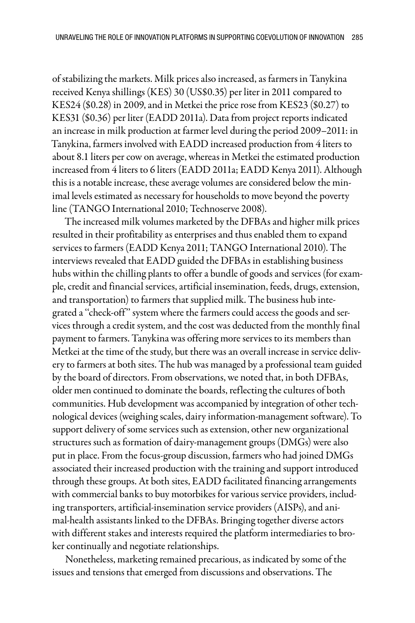of stabilizing the markets. Milk prices also increased, as farmers in Tanykina received Kenya shillings (KES) 30 (US\$0.35) per liter in 2011 compared to KES24 (\$0.28) in 2009, and in Metkei the price rose from KES23 (\$0.27) to KES31 (\$0.36) per liter (EADD 2011a). Data from project reports indicated an increase in milk production at farmer level during the period 2009–2011: in Tanykina, farmers involved with EADD increased production from 4 liters to about 8.1 liters per cow on average, whereas in Metkei the estimated production increased from 4 liters to 6 liters (EADD 2011a; EADD Kenya 2011). Although this is a notable increase, these average volumes are considered below the minimal levels estimated as necessary for households to move beyond the poverty line (TANGO International 2010; Technoserve 2008).

The increased milk volumes marketed by the DFBAs and higher milk prices resulted in their profitability as enterprises and thus enabled them to expand services to farmers (EADD Kenya 2011; TANGO International 2010). The interviews revealed that EADD guided the DFBAs in establishing business hubs within the chilling plants to offer a bundle of goods and services (for example, credit and financial services, artificial insemination, feeds, drugs, extension, and transportation) to farmers that supplied milk. The business hub integrated a ''check-off'' system where the farmers could access the goods and services through a credit system, and the cost was deducted from the monthly final payment to farmers. Tanykina was offering more services to its members than Metkei at the time of the study, but there was an overall increase in service delivery to farmers at both sites. The hub was managed by a professional team guided by the board of directors. From observations, we noted that, in both DFBAs, older men continued to dominate the boards, reflecting the cultures of both communities. Hub development was accompanied by integration of other technological devices (weighing scales, dairy information-management software). To support delivery of some services such as extension, other new organizational structures such as formation of dairy-management groups (DMGs) were also put in place. From the focus-group discussion, farmers who had joined DMGs associated their increased production with the training and support introduced through these groups. At both sites, EADD facilitated financing arrangements with commercial banks to buy motorbikes for various service providers, including transporters, artificial-insemination service providers (AISPs), and animal-health assistants linked to the DFBAs. Bringing together diverse actors with different stakes and interests required the platform intermediaries to broker continually and negotiate relationships.

Nonetheless, marketing remained precarious, as indicated by some of the issues and tensions that emerged from discussions and observations. The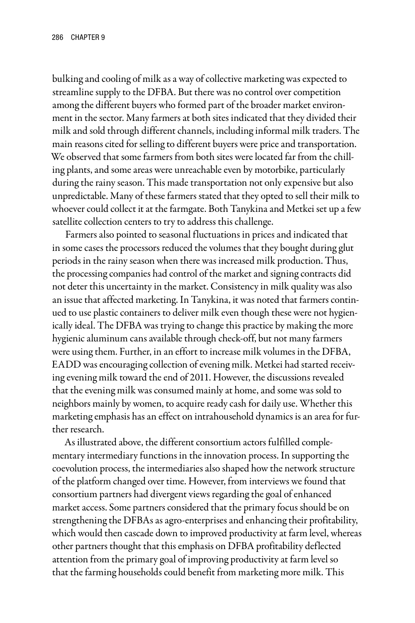bulking and cooling of milk as a way of collective marketing was expected to streamline supply to the DFBA. But there was no control over competition among the different buyers who formed part of the broader market environment in the sector. Many farmers at both sites indicated that they divided their milk and sold through different channels, including informal milk traders. The main reasons cited for selling to different buyers were price and transportation. We observed that some farmers from both sites were located far from the chilling plants, and some areas were unreachable even by motorbike, particularly during the rainy season. This made transportation not only expensive but also unpredictable. Many of these farmers stated that they opted to sell their milk to whoever could collect it at the farmgate. Both Tanykina and Metkei set up a few satellite collection centers to try to address this challenge.

Farmers also pointed to seasonal fluctuations in prices and indicated that in some cases the processors reduced the volumes that they bought during glut periods in the rainy season when there was increased milk production. Thus, the processing companies had control of the market and signing contracts did not deter this uncertainty in the market. Consistency in milk quality was also an issue that affected marketing. In Tanykina, it was noted that farmers continued to use plastic containers to deliver milk even though these were not hygienically ideal. The DFBA was trying to change this practice by making the more hygienic aluminum cans available through check-off, but not many farmers were using them. Further, in an effort to increase milk volumes in the DFBA, EADD was encouraging collection of evening milk. Metkei had started receiving evening milk toward the end of 2011. However, the discussions revealed that the evening milk was consumed mainly at home, and some was sold to neighbors mainly by women, to acquire ready cash for daily use. Whether this marketing emphasis has an effect on intrahousehold dynamics is an area for further research.

As illustrated above, the different consortium actors fulfilled complementary intermediary functions in the innovation process. In supporting the coevolution process, the intermediaries also shaped how the network structure of the platform changed over time. However, from interviews we found that consortium partners had divergent views regarding the goal of enhanced market access. Some partners considered that the primary focus should be on strengthening the DFBAs as agro-enterprises and enhancing their profitability, which would then cascade down to improved productivity at farm level, whereas other partners thought that this emphasis on DFBA profitability deflected attention from the primary goal of improving productivity at farm level so that the farming households could benefit from marketing more milk. This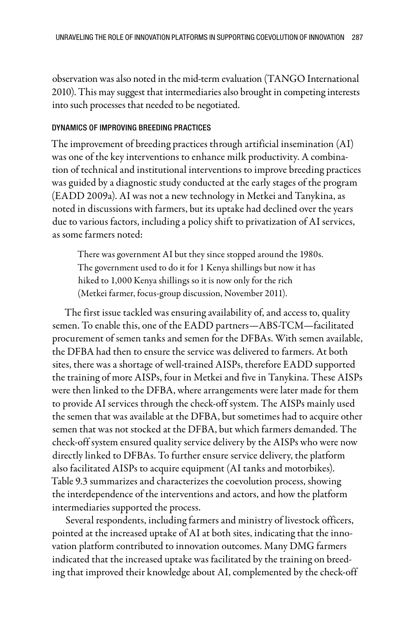observation was also noted in the mid-term evaluation (TANGO International 2010). This may suggest that intermediaries also brought in competing interests into such processes that needed to be negotiated.

### DYNAMICS OF IMPROVING BREEDING PRACTICES

The improvement of breeding practices through artificial insemination (AI) was one of the key interventions to enhance milk productivity. A combination of technical and institutional interventions to improve breeding practices was guided by a diagnostic study conducted at the early stages of the program (EADD 2009a). AI was not a new technology in Metkei and Tanykina, as noted in discussions with farmers, but its uptake had declined over the years due to various factors, including a policy shift to privatization of AI services, as some farmers noted:

There was government AI but they since stopped around the 1980s. The government used to do it for 1 Kenya shillings but now it has hiked to 1,000 Kenya shillings so it is now only for the rich (Metkei farmer, focus-group discussion, November 2011).

The first issue tackled was ensuring availability of, and access to, quality semen. To enable this, one of the EADD partners—ABS-TCM—facilitated procurement of semen tanks and semen for the DFBAs. With semen available, the DFBA had then to ensure the service was delivered to farmers. At both sites, there was a shortage of well-trained AISPs, therefore EADD supported the training of more AISPs, four in Metkei and five in Tanykina. These AISPs were then linked to the DFBA, where arrangements were later made for them to provide AI services through the check-off system. The AISPs mainly used the semen that was available at the DFBA, but sometimes had to acquire other semen that was not stocked at the DFBA, but which farmers demanded. The check-off system ensured quality service delivery by the AISPs who were now directly linked to DFBAs. To further ensure service delivery, the platform also facilitated AISPs to acquire equipment (AI tanks and motorbikes). Table 9.3 summarizes and characterizes the coevolution process, showing the interdependence of the interventions and actors, and how the platform intermediaries supported the process.

Several respondents, including farmers and ministry of livestock officers, pointed at the increased uptake of AI at both sites, indicating that the innovation platform contributed to innovation outcomes. Many DMG farmers indicated that the increased uptake was facilitated by the training on breeding that improved their knowledge about AI, complemented by the check-off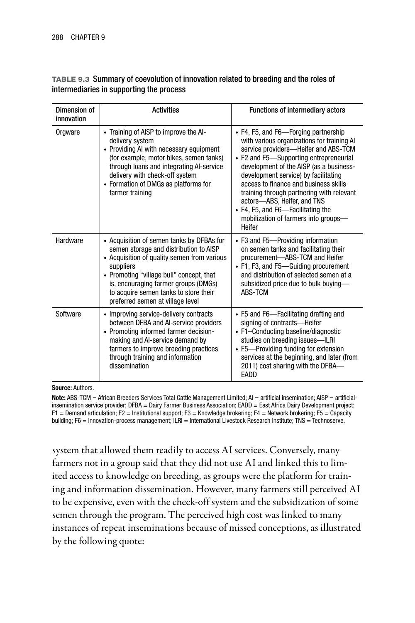| Dimension of<br>innovation | <b>Activities</b>                                                                                                                                                                                                                                                                                                | <b>Functions of intermediary actors</b>                                                                                                                                                                                                                                                                                                                                                                                                                             |  |
|----------------------------|------------------------------------------------------------------------------------------------------------------------------------------------------------------------------------------------------------------------------------------------------------------------------------------------------------------|---------------------------------------------------------------------------------------------------------------------------------------------------------------------------------------------------------------------------------------------------------------------------------------------------------------------------------------------------------------------------------------------------------------------------------------------------------------------|--|
| Orgware                    | • Training of AISP to improve the AI-<br>delivery system<br>• Providing AI with necessary equipment<br>(for example, motor bikes, semen tanks)<br>through loans and integrating AI-service<br>delivery with check-off system<br>• Formation of DMGs as platforms for<br>farmer training                          | • F4, F5, and F6—Forging partnership<br>with various organizations for training AI<br>service providers-Heifer and ABS-TCM<br>• F2 and F5—Supporting entrepreneurial<br>development of the AISP (as a business-<br>development service) by facilitating<br>access to finance and business skills<br>training through partnering with relevant<br>actors-ABS, Heifer, and TNS<br>• F4, F5, and F6-Facilitating the<br>mobilization of farmers into groups-<br>Heifer |  |
| Hardware                   | • Acquisition of semen tanks by DFBAs for<br>semen storage and distribution to AISP<br>• Acquisition of quality semen from various<br>suppliers<br>• Promoting "village bull" concept, that<br>is, encouraging farmer groups (DMGs)<br>to acquire semen tanks to store their<br>preferred semen at village level | • F3 and F5-Providing information<br>on semen tanks and facilitating their<br>procurement-ABS-TCM and Heifer<br>• F1, F3, and F5—Guiding procurement<br>and distribution of selected semen at a<br>subsidized price due to bulk buying—<br>ABS-TCM                                                                                                                                                                                                                  |  |
| Software                   | • Improving service-delivery contracts<br>between DFBA and Al-service providers<br>• Promoting informed farmer decision-<br>making and AI-service demand by<br>farmers to improve breeding practices<br>through training and information<br>dissemination                                                        | • F5 and F6-Facilitating drafting and<br>signing of contracts-Heifer<br>• F1-Conducting baseline/diagnostic<br>studies on breeding issues-ILRI<br>• F5-Providing funding for extension<br>services at the beginning, and later (from<br>2011) cost sharing with the DFBA-<br>EADD                                                                                                                                                                                   |  |

### Table 9.3 Summary of coevolution of innovation related to breeding and the roles of intermediaries in supporting the process

#### Source: Authors.

Note: ABS-TCM = African Breeders Services Total Cattle Management Limited; AI = artificial insemination; AISP = artificialinsemination service provider: DFBA = Dairy Farmer Business Association: EADD = East Africa Dairy Development project:  $F1$  = Demand articulation; F2 = Institutional support; F3 = Knowledge brokering; F4 = Network brokering; F5 = Capacity building; F6 = Innovation-process management; ILRI = International Livestock Research Institute; TNS = Technoserve.

system that allowed them readily to access AI services. Conversely, many farmers not in a group said that they did not use AI and linked this to limited access to knowledge on breeding, as groups were the platform for training and information dissemination. However, many farmers still perceived AI to be expensive, even with the check-off system and the subsidization of some semen through the program. The perceived high cost was linked to many instances of repeat inseminations because of missed conceptions, as illustrated by the following quote: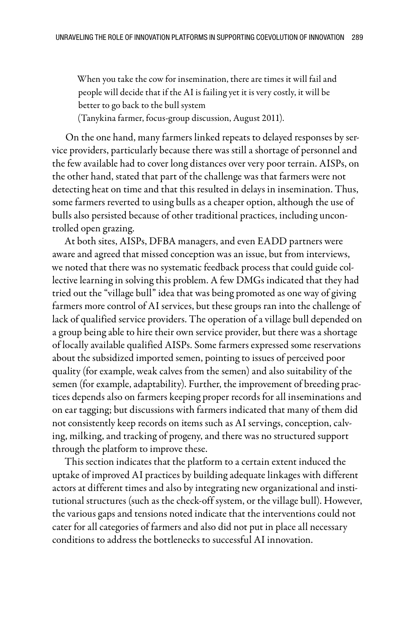When you take the cow for insemination, there are times it will fail and people will decide that if the AI is failing yet it is very costly, it will be better to go back to the bull system

(Tanykina farmer, focus-group discussion, August 2011).

On the one hand, many farmers linked repeats to delayed responses by service providers, particularly because there was still a shortage of personnel and the few available had to cover long distances over very poor terrain. AISPs, on the other hand, stated that part of the challenge was that farmers were not detecting heat on time and that this resulted in delays in insemination. Thus, some farmers reverted to using bulls as a cheaper option, although the use of bulls also persisted because of other traditional practices, including uncontrolled open grazing.

At both sites, AISPs, DFBA managers, and even EADD partners were aware and agreed that missed conception was an issue, but from interviews, we noted that there was no systematic feedback process that could guide collective learning in solving this problem. A few DMGs indicated that they had tried out the "village bull" idea that was being promoted as one way of giving farmers more control of AI services, but these groups ran into the challenge of lack of qualified service providers. The operation of a village bull depended on a group being able to hire their own service provider, but there was a shortage of locally available qualified AISPs. Some farmers expressed some reservations about the subsidized imported semen, pointing to issues of perceived poor quality (for example, weak calves from the semen) and also suitability of the semen (for example, adaptability). Further, the improvement of breeding practices depends also on farmers keeping proper records for all inseminations and on ear tagging; but discussions with farmers indicated that many of them did not consistently keep records on items such as AI servings, conception, calving, milking, and tracking of progeny, and there was no structured support through the platform to improve these.

This section indicates that the platform to a certain extent induced the uptake of improved AI practices by building adequate linkages with different actors at different times and also by integrating new organizational and institutional structures (such as the check-off system, or the village bull). However, the various gaps and tensions noted indicate that the interventions could not cater for all categories of farmers and also did not put in place all necessary conditions to address the bottlenecks to successful AI innovation.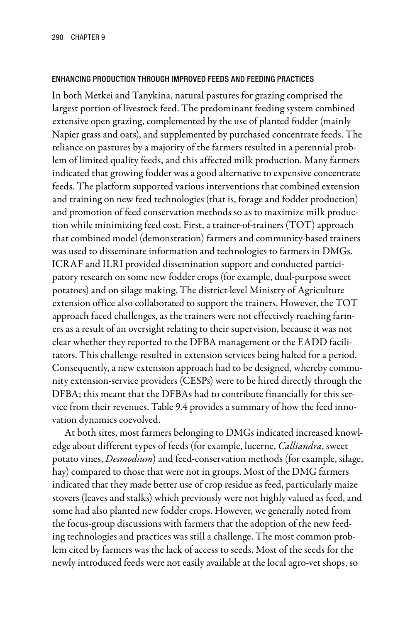#### ENHANCING PRODUCTION THROUGH IMPROVED FEEDS AND FEEDING PRACTICES

In both Metkei and Tanykina, natural pastures for grazing comprised the largest portion of livestock feed. The predominant feeding system combined extensive open grazing, complemented by the use of planted fodder (mainly Napier grass and oats), and supplemented by purchased concentrate feeds. The reliance on pastures by a majority of the farmers resulted in a perennial problem of limited quality feeds, and this affected milk production. Many farmers indicated that growing fodder was a good alternative to expensive concentrate feeds. The platform supported various interventions that combined extension and training on new feed technologies (that is, forage and fodder production) and promotion of feed conservation methods so as to maximize milk production while minimizing feed cost. First, a trainer-of-trainers (TOT) approach that combined model (demonstration) farmers and community-based trainers was used to disseminate information and technologies to farmers in DMGs. ICRAF and ILRI provided dissemination support and conducted participatory research on some new fodder crops (for example, dual-purpose sweet potatoes) and on silage making. The district-level Ministry of Agriculture extension office also collaborated to support the trainers. However, the TOT approach faced challenges, as the trainers were not effectively reaching farmers as a result of an oversight relating to their supervision, because it was not clear whether they reported to the DFBA management or the EADD facilitators. This challenge resulted in extension services being halted for a period. Consequently, a new extension approach had to be designed, whereby community extension-service providers (CESPs) were to be hired directly through the DFBA; this meant that the DFBAs had to contribute financially for this service from their revenues. Table 9.4 provides a summary of how the feed innovation dynamics coevolved.

At both sites, most farmers belonging to DMGs indicated increased knowledge about different types of feeds (for example, lucerne, *Calliandra*, sweet potato vines, *Desmodium*) and feed-conservation methods (for example, silage, hay) compared to those that were not in groups. Most of the DMG farmers indicated that they made better use of crop residue as feed, particularly maize stovers (leaves and stalks) which previously were not highly valued as feed, and some had also planted new fodder crops. However, we generally noted from the focus-group discussions with farmers that the adoption of the new feeding technologies and practices was still a challenge. The most common problem cited by farmers was the lack of access to seeds. Most of the seeds for the newly introduced feeds were not easily available at the local agro-vet shops, so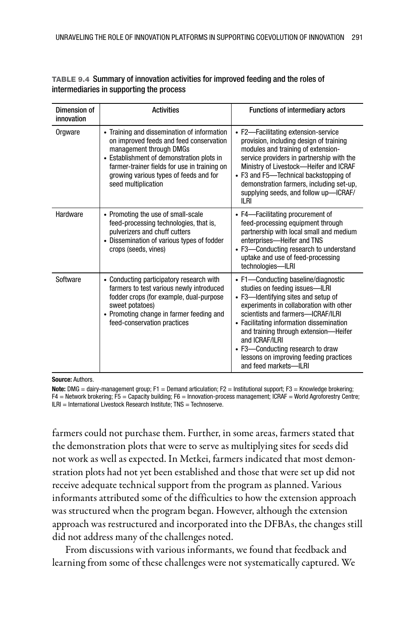| Dimension of<br>innovation | <b>Activities</b>                                                                                                                                                                                                                                                               | <b>Functions of intermediary actors</b>                                                                                                                                                                                                                                                                                                                                                                   |
|----------------------------|---------------------------------------------------------------------------------------------------------------------------------------------------------------------------------------------------------------------------------------------------------------------------------|-----------------------------------------------------------------------------------------------------------------------------------------------------------------------------------------------------------------------------------------------------------------------------------------------------------------------------------------------------------------------------------------------------------|
| Orgware                    | • Training and dissemination of information<br>on improved feeds and feed conservation<br>management through DMGs<br>• Establishment of demonstration plots in<br>farmer-trainer fields for use in training on<br>growing various types of feeds and for<br>seed multiplication | • F2-Facilitating extension-service<br>provision, including design of training<br>modules and training of extension-<br>service providers in partnership with the<br>Ministry of Livestock-Heifer and ICRAF<br>• F3 and F5-Technical backstopping of<br>demonstration farmers, including set-up,<br>supplying seeds, and follow up-ICRAF/<br>ILRI                                                         |
| Hardware                   | • Promoting the use of small-scale<br>feed-processing technologies, that is,<br>pulverizers and chuff cutters<br>• Dissemination of various types of fodder<br>crops (seeds, vines)                                                                                             | • F4-Facilitating procurement of<br>feed-processing equipment through<br>partnership with local small and medium<br>enterprises-Heifer and TNS<br>• F3-Conducting research to understand<br>uptake and use of feed-processing<br>technologies-ILRI                                                                                                                                                        |
| Software                   | • Conducting participatory research with<br>farmers to test various newly introduced<br>fodder crops (for example, dual-purpose<br>sweet potatoes)<br>• Promoting change in farmer feeding and<br>feed-conservation practices                                                   | • F1-Conducting baseline/diagnostic<br>studies on feeding issues----<br>• F3-Identifying sites and setup of<br>experiments in collaboration with other<br>scientists and farmers-ICRAF/ILRI<br>• Facilitating information dissemination<br>and training through extension-Heifer<br>and ICRAF/ILRI<br>• F3-Conducting research to draw<br>lessons on improving feeding practices<br>and feed markets-ILRI |

| TABLE 9.4 Summary of innovation activities for improved feeding and the roles of |  |  |
|----------------------------------------------------------------------------------|--|--|
| intermediaries in supporting the process                                         |  |  |

Source: Authors.

Note: DMG = dairy-management group; F1 = Demand articulation; F2 = Institutional support; F3 = Knowledge brokering; F4 = Network brokering; F5 = Capacity building; F6 = Innovation-process management; ICRAF = World Agroforestry Centre; ILRI = International Livestock Research Institute; TNS = Technoserve.

farmers could not purchase them. Further, in some areas, farmers stated that the demonstration plots that were to serve as multiplying sites for seeds did not work as well as expected. In Metkei, farmers indicated that most demonstration plots had not yet been established and those that were set up did not receive adequate technical support from the program as planned. Various informants attributed some of the difficulties to how the extension approach was structured when the program began. However, although the extension approach was restructured and incorporated into the DFBAs, the changes still did not address many of the challenges noted.

From discussions with various informants, we found that feedback and learning from some of these challenges were not systematically captured. We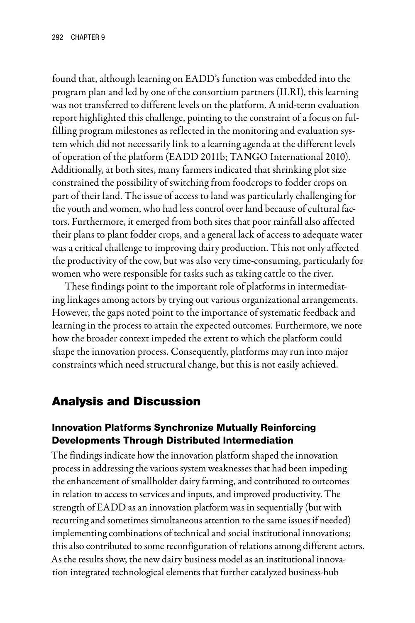found that, although learning on EADD's function was embedded into the program plan and led by one of the consortium partners (ILRI), this learning was not transferred to different levels on the platform. A mid-term evaluation report highlighted this challenge, pointing to the constraint of a focus on fulfilling program milestones as reflected in the monitoring and evaluation system which did not necessarily link to a learning agenda at the different levels of operation of the platform (EADD 2011b; TANGO International 2010). Additionally, at both sites, many farmers indicated that shrinking plot size constrained the possibility of switching from foodcrops to fodder crops on part of their land. The issue of access to land was particularly challenging for the youth and women, who had less control over land because of cultural factors. Furthermore, it emerged from both sites that poor rainfall also affected their plans to plant fodder crops, and a general lack of access to adequate water was a critical challenge to improving dairy production. This not only affected the productivity of the cow, but was also very time-consuming, particularly for women who were responsible for tasks such as taking cattle to the river.

These findings point to the important role of platforms in intermediating linkages among actors by trying out various organizational arrangements. However, the gaps noted point to the importance of systematic feedback and learning in the process to attain the expected outcomes. Furthermore, we note how the broader context impeded the extent to which the platform could shape the innovation process. Consequently, platforms may run into major constraints which need structural change, but this is not easily achieved.

# Analysis and Discussion

### Innovation Platforms Synchronize Mutually Reinforcing Developments Through Distributed Intermediation

The findings indicate how the innovation platform shaped the innovation process in addressing the various system weaknesses that had been impeding the enhancement of smallholder dairy farming, and contributed to outcomes in relation to access to services and inputs, and improved productivity. The strength of EADD as an innovation platform was in sequentially (but with recurring and sometimes simultaneous attention to the same issues if needed) implementing combinations of technical and social institutional innovations; this also contributed to some reconfiguration of relations among different actors. As the results show, the new dairy business model as an institutional innovation integrated technological elements that further catalyzed business-hub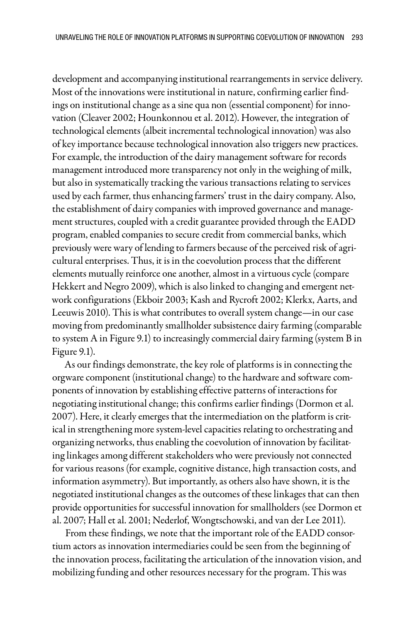development and accompanying institutional rearrangements in service delivery. Most of the innovations were institutional in nature, confirming earlier findings on institutional change as a sine qua non (essential component) for innovation (Cleaver 2002; Hounkonnou et al. 2012). However, the integration of technological elements (albeit incremental technological innovation) was also of key importance because technological innovation also triggers new practices. For example, the introduction of the dairy management software for records management introduced more transparency not only in the weighing of milk, but also in systematically tracking the various transactions relating to services used by each farmer, thus enhancing farmers' trust in the dairy company. Also, the establishment of dairy companies with improved governance and management structures, coupled with a credit guarantee provided through the EADD program, enabled companies to secure credit from commercial banks, which previously were wary of lending to farmers because of the perceived risk of agricultural enterprises. Thus, it is in the coevolution process that the different elements mutually reinforce one another, almost in a virtuous cycle (compare Hekkert and Negro 2009), which is also linked to changing and emergent network configurations (Ekboir 2003; Kash and Rycroft 2002; Klerkx, Aarts, and Leeuwis 2010). This is what contributes to overall system change—in our case moving from predominantly smallholder subsistence dairy farming (comparable to system A in Figure 9.1) to increasingly commercial dairy farming (system B in Figure 9.1).

As our findings demonstrate, the key role of platforms is in connecting the orgware component (institutional change) to the hardware and software components of innovation by establishing effective patterns of interactions for negotiating institutional change; this confirms earlier findings (Dormon et al. 2007). Here, it clearly emerges that the intermediation on the platform is critical in strengthening more system-level capacities relating to orchestrating and organizing networks, thus enabling the coevolution of innovation by facilitating linkages among different stakeholders who were previously not connected for various reasons (for example, cognitive distance, high transaction costs, and information asymmetry). But importantly, as others also have shown, it is the negotiated institutional changes as the outcomes of these linkages that can then provide opportunities for successful innovation for smallholders (see Dormon et al. 2007; Hall et al. 2001; Nederlof, Wongtschowski, and van der Lee 2011).

From these findings, we note that the important role of the EADD consortium actors as innovation intermediaries could be seen from the beginning of the innovation process, facilitating the articulation of the innovation vision, and mobilizing funding and other resources necessary for the program. This was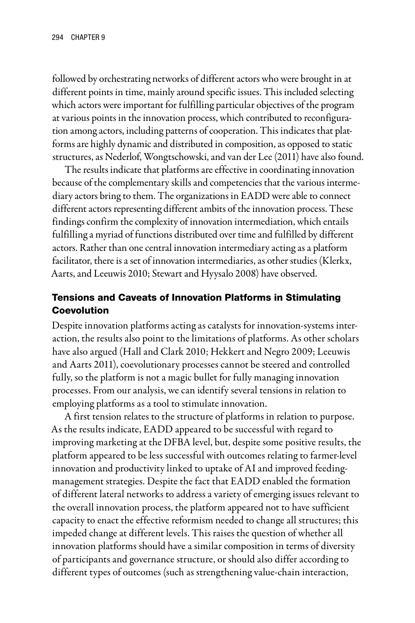followed by orchestrating networks of different actors who were brought in at different points in time, mainly around specific issues. This included selecting which actors were important for fulfilling particular objectives of the program at various points in the innovation process, which contributed to reconfiguration among actors, including patterns of cooperation. This indicates that platforms are highly dynamic and distributed in composition, as opposed to static structures, as Nederlof, Wongtschowski, and van der Lee (2011) have also found.

The results indicate that platforms are effective in coordinating innovation because of the complementary skills and competencies that the various intermediary actors bring to them. The organizations in EADD were able to connect different actors representing different ambits of the innovation process. These findings confirm the complexity of innovation intermediation, which entails fulfilling a myriad of functions distributed over time and fulfilled by different actors. Rather than one central innovation intermediary acting as a platform facilitator, there is a set of innovation intermediaries, as other studies (Klerkx, Aarts, and Leeuwis 2010; Stewart and Hyysalo 2008) have observed.

### Tensions and Caveats of Innovation Platforms in Stimulating **Coevolution**

Despite innovation platforms acting as catalysts for innovation-systems interaction, the results also point to the limitations of platforms. As other scholars have also argued (Hall and Clark 2010; Hekkert and Negro 2009; Leeuwis and Aarts 2011), coevolutionary processes cannot be steered and controlled fully, so the platform is not a magic bullet for fully managing innovation processes. From our analysis, we can identify several tensions in relation to employing platforms as a tool to stimulate innovation.

A first tension relates to the structure of platforms in relation to purpose. As the results indicate, EADD appeared to be successful with regard to improving marketing at the DFBA level, but, despite some positive results, the platform appeared to be less successful with outcomes relating to farmer-level innovation and productivity linked to uptake of AI and improved feedingmanagement strategies. Despite the fact that EADD enabled the formation of different lateral networks to address a variety of emerging issues relevant to the overall innovation process, the platform appeared not to have sufficient capacity to enact the effective reformism needed to change all structures; this impeded change at different levels. This raises the question of whether all innovation platforms should have a similar composition in terms of diversity of participants and governance structure, or should also differ according to different types of outcomes (such as strengthening value-chain interaction,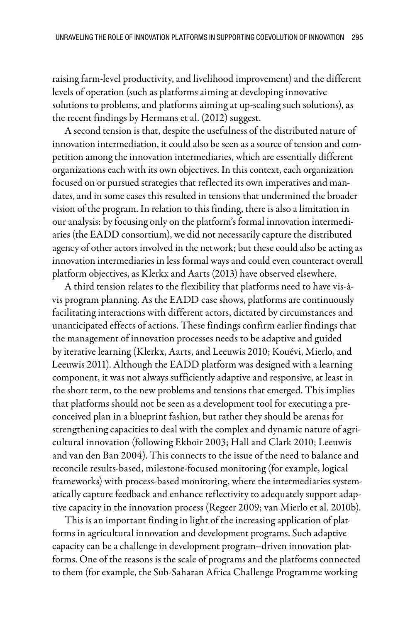raising farm-level productivity, and livelihood improvement) and the different levels of operation (such as platforms aiming at developing innovative solutions to problems, and platforms aiming at up-scaling such solutions), as the recent findings by Hermans et al. (2012) suggest.

A second tension is that, despite the usefulness of the distributed nature of innovation intermediation, it could also be seen as a source of tension and competition among the innovation intermediaries, which are essentially different organizations each with its own objectives. In this context, each organization focused on or pursued strategies that reflected its own imperatives and mandates, and in some cases this resulted in tensions that undermined the broader vision of the program. In relation to this finding, there is also a limitation in our analysis: by focusing only on the platform's formal innovation intermediaries (the EADD consortium), we did not necessarily capture the distributed agency of other actors involved in the network; but these could also be acting as innovation intermediaries in less formal ways and could even counteract overall platform objectives, as Klerkx and Aarts (2013) have observed elsewhere.

A third tension relates to the flexibility that platforms need to have vis-àvis program planning. As the EADD case shows, platforms are continuously facilitating interactions with different actors, dictated by circumstances and unanticipated effects of actions. These findings confirm earlier findings that the management of innovation processes needs to be adaptive and guided by iterative learning (Klerkx, Aarts, and Leeuwis 2010; Kouévi, Mierlo, and Leeuwis 2011). Although the EADD platform was designed with a learning component, it was not always sufficiently adaptive and responsive, at least in the short term, to the new problems and tensions that emerged. This implies that platforms should not be seen as a development tool for executing a preconceived plan in a blueprint fashion, but rather they should be arenas for strengthening capacities to deal with the complex and dynamic nature of agricultural innovation (following Ekboir 2003; Hall and Clark 2010; Leeuwis and van den Ban 2004). This connects to the issue of the need to balance and reconcile results-based, milestone-focused monitoring (for example, logical frameworks) with process-based monitoring, where the intermediaries systematically capture feedback and enhance reflectivity to adequately support adaptive capacity in the innovation process (Regeer 2009; van Mierlo et al. 2010b).

This is an important finding in light of the increasing application of platforms in agricultural innovation and development programs. Such adaptive capacity can be a challenge in development program–driven innovation platforms. One of the reasons is the scale of programs and the platforms connected to them (for example, the Sub-Saharan Africa Challenge Programme working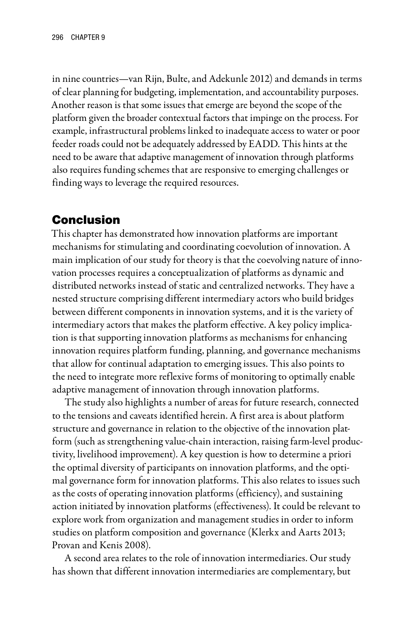in nine countries—van Rijn, Bulte, and Adekunle 2012) and demands in terms of clear planning for budgeting, implementation, and accountability purposes. Another reason is that some issues that emerge are beyond the scope of the platform given the broader contextual factors that impinge on the process. For example, infrastructural problems linked to inadequate access to water or poor feeder roads could not be adequately addressed by EADD. This hints at the need to be aware that adaptive management of innovation through platforms also requires funding schemes that are responsive to emerging challenges or finding ways to leverage the required resources.

# Conclusion

This chapter has demonstrated how innovation platforms are important mechanisms for stimulating and coordinating coevolution of innovation. A main implication of our study for theory is that the coevolving nature of innovation processes requires a conceptualization of platforms as dynamic and distributed networks instead of static and centralized networks. They have a nested structure comprising different intermediary actors who build bridges between different components in innovation systems, and it is the variety of intermediary actors that makes the platform effective. A key policy implication is that supporting innovation platforms as mechanisms for enhancing innovation requires platform funding, planning, and governance mechanisms that allow for continual adaptation to emerging issues. This also points to the need to integrate more reflexive forms of monitoring to optimally enable adaptive management of innovation through innovation platforms.

The study also highlights a number of areas for future research, connected to the tensions and caveats identified herein. A first area is about platform structure and governance in relation to the objective of the innovation platform (such as strengthening value-chain interaction, raising farm-level productivity, livelihood improvement). A key question is how to determine a priori the optimal diversity of participants on innovation platforms, and the optimal governance form for innovation platforms. This also relates to issues such as the costs of operating innovation platforms (efficiency), and sustaining action initiated by innovation platforms (effectiveness). It could be relevant to explore work from organization and management studies in order to inform studies on platform composition and governance (Klerkx and Aarts 2013; Provan and Kenis 2008).

A second area relates to the role of innovation intermediaries. Our study has shown that different innovation intermediaries are complementary, but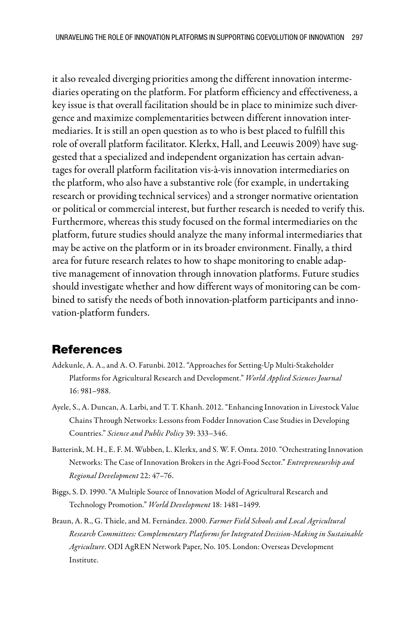it also revealed diverging priorities among the different innovation intermediaries operating on the platform. For platform efficiency and effectiveness, a key issue is that overall facilitation should be in place to minimize such divergence and maximize complementarities between different innovation intermediaries. It is still an open question as to who is best placed to fulfill this role of overall platform facilitator. Klerkx, Hall, and Leeuwis 2009) have suggested that a specialized and independent organization has certain advantages for overall platform facilitation vis-à-vis innovation intermediaries on the platform, who also have a substantive role (for example, in undertaking research or providing technical services) and a stronger normative orientation or political or commercial interest, but further research is needed to verify this. Furthermore, whereas this study focused on the formal intermediaries on the platform, future studies should analyze the many informal intermediaries that may be active on the platform or in its broader environment. Finally, a third area for future research relates to how to shape monitoring to enable adaptive management of innovation through innovation platforms. Future studies should investigate whether and how different ways of monitoring can be combined to satisfy the needs of both innovation-platform participants and innovation-platform funders.

## References

- Adekunle, A. A., and A. O. Fatunbi. 2012. "Approaches for Setting-Up Multi-Stakeholder Platforms for Agricultural Research and Development." *World Applied Sciences Journal* 16: 981–988.
- Ayele, S., A. Duncan, A. Larbi, and T. T. Khanh. 2012. "Enhancing Innovation in Livestock Value Chains Through Networks: Lessons from Fodder Innovation Case Studies in Developing Countries." *Science and Public Policy* 39: 333–346.
- Batterink, M. H., E. F. M. Wubben, L. Klerkx, and S. W. F. Omta. 2010. "Orchestrating Innovation Networks: The Case of Innovation Brokers in the Agri-Food Sector." *Entrepreneurship and Regional Development* 22: 47–76.
- Biggs, S. D. 1990. "A Multiple Source of Innovation Model of Agricultural Research and Technology Promotion." *World Development* 18: 1481–1499.
- Braun, A. R., G. Thiele, and M. Fernández. 2000. *Farmer Field Schools and Local Agricultural Research Committees: Complementary Platforms for Integrated Decision-Making in Sustainable Agriculture*. ODI AgREN Network Paper, No. 105. London: Overseas Development Institute.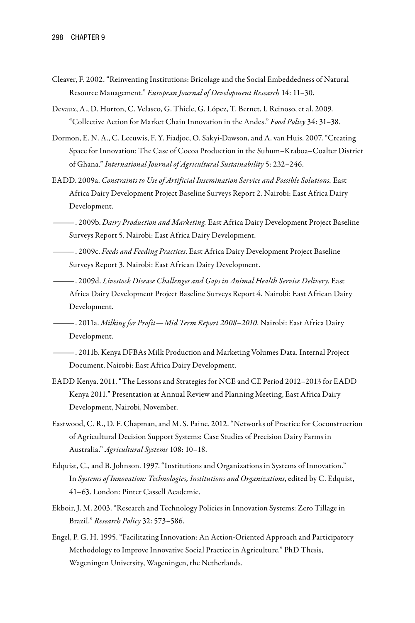- Cleaver, F. 2002. "Reinventing Institutions: Bricolage and the Social Embeddedness of Natural Resource Management." *European Journal of Development Research* 14: 11–30.
- Devaux, A., D. Horton, C. Velasco, G. Thiele, G. López, T. Bernet, I. Reinoso, et al. 2009. "Collective Action for Market Chain Innovation in the Andes." *Food Policy* 34: 31–38.
- Dormon, E. N. A., C. Leeuwis, F. Y. Fiadjoe, O. Sakyi-Dawson, and A. van Huis. 2007. "Creating Space for Innovation: The Case of Cocoa Production in the Suhum–Kraboa–Coalter District of Ghana." *International Journal of Agricultural Sustainability* 5: 232–246.
- EADD. 2009a. *Constraints to Use of Artificial Insemination Service and Possible Solutions.* East Africa Dairy Development Project Baseline Surveys Report 2. Nairobi: East Africa Dairy Development.
- —. 2009b. *Dairy Production and Marketing.* East Africa Dairy Development Project Baseline Surveys Report 5. Nairobi: East Africa Dairy Development.
- —. 2009c. *Feeds and Feeding Practices*. East Africa Dairy Development Project Baseline Surveys Report 3. Nairobi: East African Dairy Development.
	- —. 2009d. *Livestock Disease Challenges and Gaps in Animal Health Service Delivery*. East Africa Dairy Development Project Baseline Surveys Report 4. Nairobi: East African Dairy Development.
	- —. 2011a. *Milking for Profit—Mid Term Report 2008–2010*. Nairobi: East Africa Dairy Development.
- —. 2011b. Kenya DFBAs Milk Production and Marketing Volumes Data. Internal Project Document. Nairobi: East Africa Dairy Development.
- EADD Kenya. 2011. "The Lessons and Strategies for NCE and CE Period 2012–2013 for EADD Kenya 2011." Presentation at Annual Review and Planning Meeting, East Africa Dairy Development, Nairobi, November.
- Eastwood, C. R., D. F. Chapman, and M. S. Paine. 2012. "Networks of Practice for Coconstruction of Agricultural Decision Support Systems: Case Studies of Precision Dairy Farms in Australia." *Agricultural Systems* 108: 10–18.
- Edquist, C., and B. Johnson. 1997. "Institutions and Organizations in Systems of Innovation." In *Systems of Innovation: Technologies, Institutions and Organizations*, edited by C. Edquist, 41–63. London: Pinter Cassell Academic.
- Ekboir, J. M. 2003. "Research and Technology Policies in Innovation Systems: Zero Tillage in Brazil." *Research Policy* 32: 573–586.
- Engel, P. G. H. 1995. "Facilitating Innovation: An Action-Oriented Approach and Participatory Methodology to Improve Innovative Social Practice in Agriculture." PhD Thesis, Wageningen University, Wageningen, the Netherlands.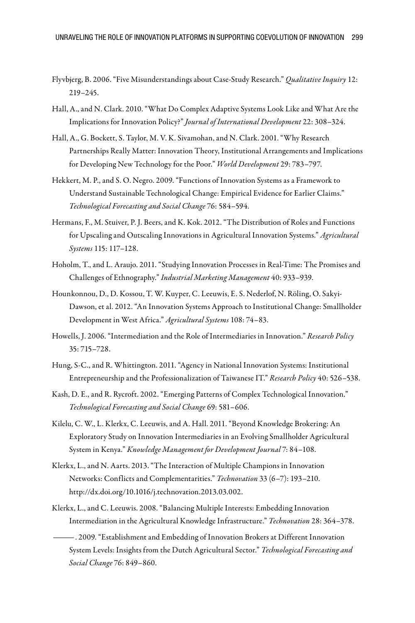- Flyvbjerg, B. 2006. "Five Misunderstandings about Case-Study Research." *Qualitative Inquiry* 12: 219–245.
- Hall, A., and N. Clark. 2010. "What Do Complex Adaptive Systems Look Like and What Are the Implications for Innovation Policy?" *Journal of International Development* 22: 308–324.
- Hall, A., G. Bockett, S. Taylor, M. V. K. Sivamohan, and N. Clark. 2001. "Why Research Partnerships Really Matter: Innovation Theory, Institutional Arrangements and Implications for Developing New Technology for the Poor." *World Development* 29: 783–797.
- Hekkert, M. P., and S. O. Negro. 2009. "Functions of Innovation Systems as a Framework to Understand Sustainable Technological Change: Empirical Evidence for Earlier Claims." *Technological Forecasting and Social Change* 76: 584–594.
- Hermans, F., M. Stuiver, P. J. Beers, and K. Kok. 2012. "The Distribution of Roles and Functions for Upscaling and Outscaling Innovations in Agricultural Innovation Systems." *Agricultural Systems* 115: 117–128.
- Hoholm, T., and L. Araujo. 2011. "Studying Innovation Processes in Real-Time: The Promises and Challenges of Ethnography." *Industrial Marketing Management* 40: 933–939.
- Hounkonnou, D., D. Kossou, T. W. Kuyper, C. Leeuwis, E. S. Nederlof, N. Röling, O. Sakyi-Dawson, et al. 2012. "An Innovation Systems Approach to Institutional Change: Smallholder Development in West Africa." *Agricultural Systems* 108: 74–83.
- Howells, J. 2006. "Intermediation and the Role of Intermediaries in Innovation." *Research Policy* 35: 715–728.
- Hung, S-C., and R. Whittington. 2011. "Agency in National Innovation Systems: Institutional Entrepreneurship and the Professionalization of Taiwanese IT." *Research Policy* 40: 526–538.
- Kash, D. E., and R. Rycroft. 2002. "Emerging Patterns of Complex Technological Innovation." *Technological Forecasting and Social Change* 69: 581–606.
- Kilelu, C. W., L. Klerkx, C. Leeuwis, and A. Hall. 2011. "Beyond Knowledge Brokering: An Exploratory Study on Innovation Intermediaries in an Evolving Smallholder Agricultural System in Kenya." *Knowledge Management for Development Journal* 7: 84–108.
- Klerkx, L., and N. Aarts. 2013. "The Interaction of Multiple Champions in Innovation Networks: Conflicts and Complementarities." *Technovation* 33 (6–7): 193–210. http://dx.doi.org/10.1016/j.technovation.2013.03.002.
- Klerkx, L., and C. Leeuwis. 2008. "Balancing Multiple Interests: Embedding Innovation Intermediation in the Agricultural Knowledge Infrastructure." *Technovation* 28: 364–378.
- —. 2009. "Establishment and Embedding of Innovation Brokers at Different Innovation System Levels: Insights from the Dutch Agricultural Sector." *Technological Forecasting and Social Change* 76: 849–860.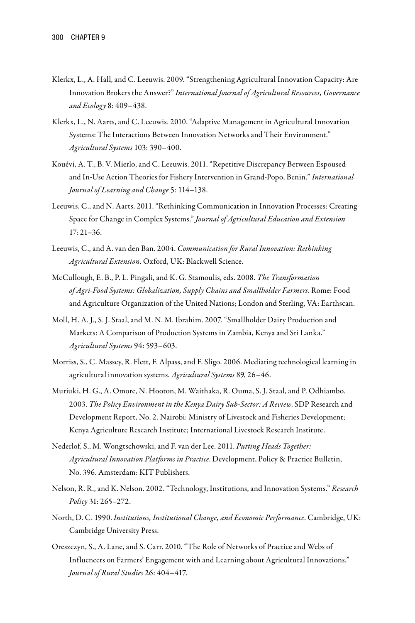- Klerkx, L., A. Hall, and C. Leeuwis. 2009. "Strengthening Agricultural Innovation Capacity: Are Innovation Brokers the Answer?" *International Journal of Agricultural Resources, Governance and Ecology* 8: 409–438.
- Klerkx, L., N. Aarts, and C. Leeuwis. 2010. "Adaptive Management in Agricultural Innovation Systems: The Interactions Between Innovation Networks and Their Environment." *Agricultural Systems* 103: 390–400.
- Kouévi, A. T., B. V. Mierlo, and C. Leeuwis. 2011. "Repetitive Discrepancy Between Espoused and In-Use Action Theories for Fishery Intervention in Grand-Popo, Benin." *International Journal of Learning and Change* 5: 114–138.
- Leeuwis, C., and N. Aarts. 2011. "Rethinking Communication in Innovation Processes: Creating Space for Change in Complex Systems." *Journal of Agricultural Education and Extension* 17: 21–36.
- Leeuwis, C., and A. van den Ban. 2004. *Communication for Rural Innovation: Rethinking Agricultural Extension*. Oxford, UK: Blackwell Science.
- McCullough, E. B., P. L. Pingali, and K. G. Stamoulis, eds. 2008. *The Transformation of Agri-Food Systems: Globalization, Supply Chains and Smallholder Farmers*. Rome: Food and Agriculture Organization of the United Nations; London and Sterling, VA: Earthscan.
- Moll, H. A. J., S. J. Staal, and M. N. M. Ibrahim. 2007. "Smallholder Dairy Production and Markets: A Comparison of Production Systems in Zambia, Kenya and Sri Lanka." *Agricultural Systems* 94: 593–603.
- Morriss, S., C. Massey, R. Flett, F. Alpass, and F. Sligo. 2006. Mediating technological learning in agricultural innovation systems. *Agricultural Systems* 89, 26–46.
- Muriuki, H. G., A. Omore, N. Hooton, M. Waithaka, R. Ouma, S. J. Staal, and P. Odhiambo. 2003. *The Policy Environment in the Kenya Dairy Sub-Sector: A Review*. SDP Research and Development Report, No. 2. Nairobi: Ministry of Livestock and Fisheries Development; Kenya Agriculture Research Institute; International Livestock Research Institute.
- Nederlof, S., M. Wongtschowski, and F. van der Lee. 2011. *Putting Heads Together: Agricultural Innovation Platforms in Practice*. Development, Policy & Practice Bulletin, No. 396. Amsterdam: KIT Publishers.
- Nelson, R. R., and K. Nelson. 2002. "Technology, Institutions, and Innovation Systems." *Research Policy* 31: 265–272.
- North, D. C. 1990. *Institutions, Institutional Change, and Economic Performance*. Cambridge, UK: Cambridge University Press.
- Oreszczyn, S., A. Lane, and S. Carr. 2010. "The Role of Networks of Practice and Webs of Influencers on Farmers' Engagement with and Learning about Agricultural Innovations." *Journal of Rural Studies* 26: 404–417.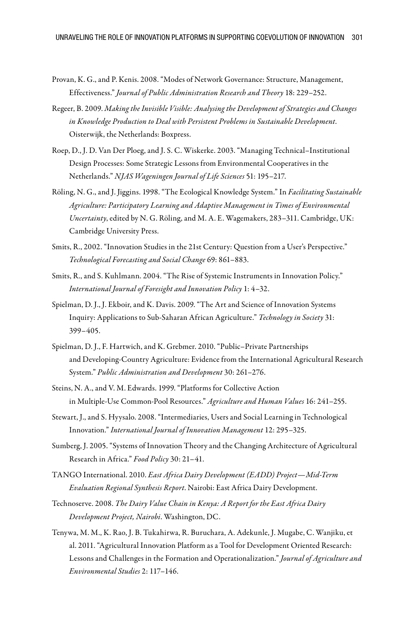- Provan, K. G., and P. Kenis. 2008. "Modes of Network Governance: Structure, Management, Effectiveness." *Journal of Public Administration Research and Theory* 18: 229–252.
- Regeer, B. 2009. *Making the Invisible Visible: Analysing the Development of Strategies and Changes in Knowledge Production to Deal with Persistent Problems in Sustainable Development*. Oisterwijk, the Netherlands: Boxpress.
- Roep, D., J. D. Van Der Ploeg, and J. S. C. Wiskerke. 2003. "Managing Technical–Institutional Design Processes: Some Strategic Lessons from Environmental Cooperatives in the Netherlands." *NJAS Wageningen Journal of Life Sciences* 51: 195–217.
- Röling, N. G., and J. Jiggins. 1998. "The Ecological Knowledge System." In *Facilitating Sustainable Agriculture: Participatory Learning and Adaptive Management in Times of Environmental Uncertainty*, edited by N. G. Röling, and M. A. E. Wagemakers, 283–311. Cambridge, UK: Cambridge University Press.
- Smits, R., 2002. "Innovation Studies in the 21st Century: Question from a User's Perspective." *Technological Forecasting and Social Change* 69: 861–883.
- Smits, R., and S. Kuhlmann. 2004. "The Rise of Systemic Instruments in Innovation Policy." *International Journal of Foresight and Innovation Policy* 1: 4–32.
- Spielman, D. J., J. Ekboir, and K. Davis. 2009. "The Art and Science of Innovation Systems Inquiry: Applications to Sub-Saharan African Agriculture." *Technology in Society* 31: 399–405.
- Spielman, D. J., F. Hartwich, and K. Grebmer. 2010. "Public–Private Partnerships and Developing-Country Agriculture: Evidence from the International Agricultural Research System." *Public Administration and Development* 30: 261–276.
- Steins, N. A., and V. M. Edwards. 1999. "Platforms for Collective Action in Multiple-Use Common-Pool Resources." *Agriculture and Human Values* 16: 241–255.
- Stewart, J., and S. Hyysalo. 2008. "Intermediaries, Users and Social Learning in Technological Innovation." *International Journal of Innovation Management* 12: 295–325.
- Sumberg, J. 2005. "Systems of Innovation Theory and the Changing Architecture of Agricultural Research in Africa." *Food Policy* 30: 21–41.
- TANGO International. 2010. *East Africa Dairy Development (EADD) Project—Mid-Term Evaluation Regional Synthesis Report*. Nairobi: East Africa Dairy Development.
- Technoserve. 2008. *The Dairy Value Chain in Kenya: A Report for the East Africa Dairy Development Project, Nairobi*. Washington, DC.
- Tenywa, M. M., K. Rao, J. B. Tukahirwa, R. Buruchara, A. Adekunle, J. Mugabe, C. Wanjiku, et al. 2011. "Agricultural Innovation Platform as a Tool for Development Oriented Research: Lessons and Challenges in the Formation and Operationalization." *Journal of Agriculture and Environmental Studies* 2: 117–146.